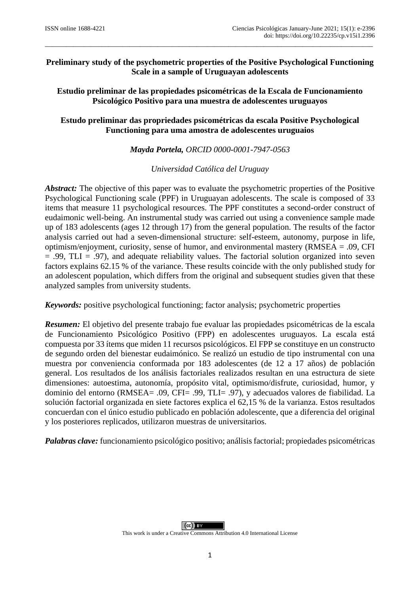# **Preliminary study of the psychometric properties of the Positive Psychological Functioning Scale in a sample of Uruguayan adolescents**

\_\_\_\_\_\_\_\_\_\_\_\_\_\_\_\_\_\_\_\_\_\_\_\_\_\_\_\_\_\_\_\_\_\_\_\_\_\_\_\_\_\_\_\_\_\_\_\_\_\_\_\_\_\_\_\_\_\_\_\_\_\_\_\_\_\_\_\_\_\_\_\_\_\_\_\_\_\_\_\_\_\_\_\_\_\_\_\_\_\_\_\_\_

**Estudio preliminar de las propiedades psicométricas de la Escala de Funcionamiento Psicológico Positivo para una muestra de adolescentes uruguayos**

# **Estudo preliminar das propriedades psicométricas da escala Positive Psychological Functioning para uma amostra de adolescentes uruguaios**

*Mayda Portela, ORCID 0000-0001-7947-0563*

*Universidad Católica del Uruguay*

*Abstract:* The objective of this paper was to evaluate the psychometric properties of the Positive Psychological Functioning scale (PPF) in Uruguayan adolescents. The scale is composed of 33 items that measure 11 psychological resources. The PPF constitutes a second-order construct of eudaimonic well-being. An instrumental study was carried out using a convenience sample made up of 183 adolescents (ages 12 through 17) from the general population. The results of the factor analysis carried out had a seven-dimensional structure: self-esteem, autonomy, purpose in life, optimism/enjoyment, curiosity, sense of humor, and environmental mastery (RMSEA = .09, CFI  $= .99, TLI = .97$ , and adequate reliability values. The factorial solution organized into seven factors explains 62.15 % of the variance. These results coincide with the only published study for an adolescent population, which differs from the original and subsequent studies given that these analyzed samples from university students.

*Keywords:* positive psychological functioning; factor analysis; psychometric properties

*Resumen:* El objetivo del presente trabajo fue evaluar las propiedades psicométricas de la escala de Funcionamiento Psicológico Positivo (FPP) en adolescentes uruguayos. La escala está compuesta por 33 ítems que miden 11 recursos psicológicos. El FPP se constituye en un constructo de segundo orden del bienestar eudaimónico. Se realizó un estudio de tipo instrumental con una muestra por conveniencia conformada por 183 adolescentes (de 12 a 17 años) de población general. Los resultados de los análisis factoriales realizados resultan en una estructura de siete dimensiones: autoestima, autonomía, propósito vital, optimismo/disfrute, curiosidad, humor, y dominio del entorno (RMSEA= .09, CFI= .99, TLI= .97), y adecuados valores de fiabilidad. La solución factorial organizada en siete factores explica el 62,15 % de la varianza. Estos resultados concuerdan con el único estudio publicado en población adolescente, que a diferencia del original y los posteriores replicados, utilizaron muestras de universitarios.

*Palabras clave:* funcionamiento psicológico positivo; análisis factorial; propiedades psicométricas

 $(cc)$ This work is under a Creative Commons Attribution 4.0 International License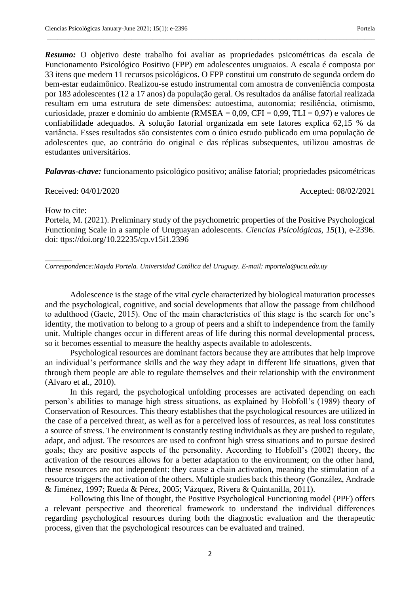*Resumo:* O objetivo deste trabalho foi avaliar as propriedades psicométricas da escala de Funcionamento Psicológico Positivo (FPP) em adolescentes uruguaios. A escala é composta por 33 itens que medem 11 recursos psicológicos. O FPP constitui um construto de segunda ordem do bem-estar eudaimônico. Realizou-se estudo instrumental com amostra de conveniência composta por 183 adolescentes (12 a 17 anos) da população geral. Os resultados da análise fatorial realizada resultam em uma estrutura de sete dimensões: autoestima, autonomia; resiliência, otimismo, curiosidade, prazer e domínio do ambiente (RMSEA = 0,09, CFI = 0,99, TLI = 0,97) e valores de confiabilidade adequados. A solução fatorial organizada em sete fatores explica 62,15 % da variância. Esses resultados são consistentes com o único estudo publicado em uma população de adolescentes que, ao contrário do original e das réplicas subsequentes, utilizou amostras de estudantes universitários.

\_\_\_\_\_\_\_\_\_\_\_\_\_\_\_\_\_\_\_\_\_\_\_\_\_\_\_\_\_\_\_\_\_\_\_\_\_\_\_\_\_\_\_\_\_\_\_\_\_\_\_\_\_\_\_\_\_\_\_\_\_\_\_\_\_\_\_\_\_\_\_\_\_\_\_\_\_\_\_\_\_\_\_\_\_\_\_\_\_\_\_\_\_

*Palavras-chave:* funcionamento psicológico positivo; análise fatorial; propriedades psicométricas

Received: 04/01/2020 Accepted: 08/02/2021

How to cite:

 $\overline{\phantom{a}}$ 

Portela, M. (2021). Preliminary study of the psychometric properties of the Positive Psychological Functioning Scale in a sample of Uruguayan adolescents. *Ciencias Psicológicas, 15*(1), e-2396. doi: ttps://doi.org/10.22235/cp.v15i1.2396

*Correspondence:Mayda Portela. Universidad Católica del Uruguay. E-mail: mportela@ucu.edu.uy*

Adolescence is the stage of the vital cycle characterized by biological maturation processes and the psychological, cognitive, and social developments that allow the passage from childhood to adulthood (Gaete, 2015). One of the main characteristics of this stage is the search for one's identity, the motivation to belong to a group of peers and a shift to independence from the family unit. Multiple changes occur in different areas of life during this normal developmental process, so it becomes essential to measure the healthy aspects available to adolescents.

Psychological resources are dominant factors because they are attributes that help improve an individual's performance skills and the way they adapt in different life situations, given that through them people are able to regulate themselves and their relationship with the environment (Alvaro et al., 2010).

In this regard, the psychological unfolding processes are activated depending on each person's abilities to manage high stress situations, as explained by Hobfoll's (1989) theory of Conservation of Resources. This theory establishes that the psychological resources are utilized in the case of a perceived threat, as well as for a perceived loss of resources, as real loss constitutes a source of stress. The environment is constantly testing individuals as they are pushed to regulate, adapt, and adjust. The resources are used to confront high stress situations and to pursue desired goals; they are positive aspects of the personality. According to Hobfoll's (2002) theory, the activation of the resources allows for a better adaptation to the environment; on the other hand, these resources are not independent: they cause a chain activation, meaning the stimulation of a resource triggers the activation of the others. Multiple studies back this theory (González, Andrade & Jiménez, 1997; Rueda & Pérez, 2005; Vázquez, Rivera & Quintanilla, 2011).

Following this line of thought, the Positive Psychological Functioning model (PPF) offers a relevant perspective and theoretical framework to understand the individual differences regarding psychological resources during both the diagnostic evaluation and the therapeutic process, given that the psychological resources can be evaluated and trained.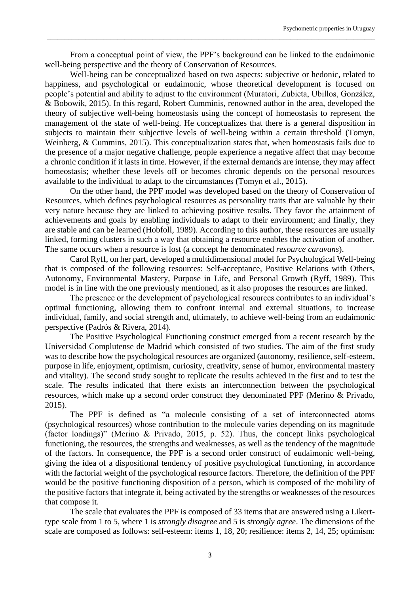From a conceptual point of view, the PPF's background can be linked to the eudaimonic well-being perspective and the theory of Conservation of Resources.

\_\_\_\_\_\_\_\_\_\_\_\_\_\_\_\_\_\_\_\_\_\_\_\_\_\_\_\_\_\_\_\_\_\_\_\_\_\_\_\_\_\_\_\_\_\_\_\_\_\_\_\_\_\_\_\_\_\_\_\_\_\_\_\_\_\_\_\_\_\_\_\_\_\_\_\_\_\_\_\_\_\_\_\_\_\_\_\_\_\_\_\_\_

Well-being can be conceptualized based on two aspects: subjective or hedonic, related to happiness, and psychological or eudaimonic, whose theoretical development is focused on people's potential and ability to adjust to the environment (Muratori, Zubieta, Ubillos, González, & Bobowik, 2015). In this regard, Robert Cumminis, renowned author in the area, developed the theory of subjective well-being homeostasis using the concept of homeostasis to represent the management of the state of well-being. He conceptualizes that there is a general disposition in subjects to maintain their subjective levels of well-being within a certain threshold (Tomyn, Weinberg, & Cummins, 2015). This conceptualization states that, when homeostasis fails due to the presence of a major negative challenge, people experience a negative affect that may become a chronic condition if it lasts in time. However, if the external demands are intense, they may affect homeostasis; whether these levels off or becomes chronic depends on the personal resources available to the individual to adapt to the circumstances (Tomyn et al., 2015).

On the other hand, the PPF model was developed based on the theory of Conservation of Resources, which defines psychological resources as personality traits that are valuable by their very nature because they are linked to achieving positive results. They favor the attainment of achievements and goals by enabling individuals to adapt to their environment; and finally, they are stable and can be learned (Hobfoll, 1989). According to this author, these resources are usually linked, forming clusters in such a way that obtaining a resource enables the activation of another. The same occurs when a resource is lost (a concept he denominated *resource caravans*).

Carol Ryff, on her part, developed a multidimensional model for Psychological Well-being that is composed of the following resources: Self-acceptance, Positive Relations with Others, Autonomy, Environmental Mastery, Purpose in Life, and Personal Growth (Ryff, 1989). This model is in line with the one previously mentioned, as it also proposes the resources are linked.

The presence or the development of psychological resources contributes to an individual's optimal functioning, allowing them to confront internal and external situations, to increase individual, family, and social strength and, ultimately, to achieve well-being from an eudaimonic perspective (Padrós & Rivera, 2014).

The Positive Psychological Functioning construct emerged from a recent research by the Universidad Complutense de Madrid which consisted of two studies. The aim of the first study was to describe how the psychological resources are organized (autonomy, resilience, self-esteem, purpose in life, enjoyment, optimism, curiosity, creativity, sense of humor, environmental mastery and vitality). The second study sought to replicate the results achieved in the first and to test the scale. The results indicated that there exists an interconnection between the psychological resources, which make up a second order construct they denominated PPF (Merino & Privado, 2015).

The PPF is defined as "a molecule consisting of a set of interconnected atoms (psychological resources) whose contribution to the molecule varies depending on its magnitude (factor loadings)" (Merino & Privado, 2015, p. 52). Thus, the concept links psychological functioning, the resources, the strengths and weaknesses, as well as the tendency of the magnitude of the factors. In consequence, the PPF is a second order construct of eudaimonic well-being, giving the idea of a dispositional tendency of positive psychological functioning, in accordance with the factorial weight of the psychological resource factors. Therefore, the definition of the PPF would be the positive functioning disposition of a person, which is composed of the mobility of the positive factors that integrate it, being activated by the strengths or weaknesses of the resources that compose it.

The scale that evaluates the PPF is composed of 33 items that are answered using a Likerttype scale from 1 to 5, where 1 is *strongly disagree* and 5 is *strongly agree*. The dimensions of the scale are composed as follows: self-esteem: items 1, 18, 20; resilience: items 2, 14, 25; optimism: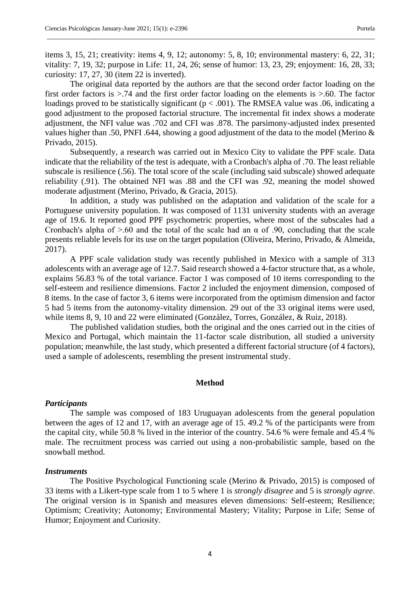items 3, 15, 21; creativity: items 4, 9, 12; autonomy: 5, 8, 10; environmental mastery: 6, 22, 31; vitality: 7, 19, 32; purpose in Life: 11, 24, 26; sense of humor: 13, 23, 29; enjoyment: 16, 28, 33; curiosity: 17, 27, 30 (item 22 is inverted).

\_\_\_\_\_\_\_\_\_\_\_\_\_\_\_\_\_\_\_\_\_\_\_\_\_\_\_\_\_\_\_\_\_\_\_\_\_\_\_\_\_\_\_\_\_\_\_\_\_\_\_\_\_\_\_\_\_\_\_\_\_\_\_\_\_\_\_\_\_\_\_\_\_\_\_\_\_\_\_\_\_\_\_\_\_\_\_\_\_\_\_\_\_

The original data reported by the authors are that the second order factor loading on the first order factors is >.74 and the first order factor loading on the elements is >.60. The factor loadings proved to be statistically significant ( $p < .001$ ). The RMSEA value was .06, indicating a good adjustment to the proposed factorial structure. The incremental fit index shows a moderate adjustment, the NFI value was .702 and CFI was .878. The parsimony-adjusted index presented values higher than .50, PNFI .644, showing a good adjustment of the data to the model (Merino & Privado, 2015).

Subsequently, a research was carried out in Mexico City to validate the PPF scale. Data indicate that the reliability of the test is adequate, with a Cronbach's alpha of .70. The least reliable subscale is resilience (.56). The total score of the scale (including said subscale) showed adequate reliability (.91). The obtained NFI was .88 and the CFI was .92, meaning the model showed moderate adjustment (Merino, Privado, & Gracia, 2015).

In addition, a study was published on the adaptation and validation of the scale for a Portuguese university population. It was composed of 1131 university students with an average age of 19.6. It reported good PPF psychometric properties, where most of the subscales had a Cronbach's alpha of  $> 60$  and the total of the scale had an  $\alpha$  of .90, concluding that the scale presents reliable levels for its use on the target population (Oliveira, Merino, Privado, & Almeida, 2017).

A PPF scale validation study was recently published in Mexico with a sample of 313 adolescents with an average age of 12.7. Said research showed a 4-factor structure that, as a whole, explains 56.83 % of the total variance. Factor 1 was composed of 10 items corresponding to the self-esteem and resilience dimensions. Factor 2 included the enjoyment dimension, composed of 8 items. In the case of factor 3, 6 items were incorporated from the optimism dimension and factor 5 had 5 items from the autonomy-vitality dimension. 29 out of the 33 original items were used, while items 8, 9, 10 and 22 were eliminated (González, Torres, González, & Ruiz, 2018).

The published validation studies, both the original and the ones carried out in the cities of Mexico and Portugal, which maintain the 11-factor scale distribution, all studied a university population; meanwhile, the last study, which presented a different factorial structure (of 4 factors), used a sample of adolescents, resembling the present instrumental study.

#### **Method**

#### *Participants*

The sample was composed of 183 Uruguayan adolescents from the general population between the ages of 12 and 17, with an average age of 15. 49.2 % of the participants were from the capital city, while 50.8 % lived in the interior of the country. 54.6 % were female and 45.4 % male. The recruitment process was carried out using a non-probabilistic sample, based on the snowball method.

#### *Instruments*

The Positive Psychological Functioning scale (Merino & Privado, 2015) is composed of 33 items with a Likert-type scale from 1 to 5 where 1 is *strongly disagree* and 5 is *strongly agree*. The original version is in Spanish and measures eleven dimensions: Self-esteem; Resilience; Optimism; Creativity; Autonomy; Environmental Mastery; Vitality; Purpose in Life; Sense of Humor; Enjoyment and Curiosity.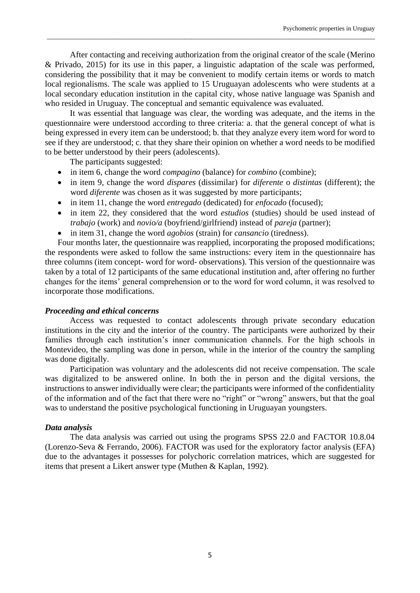After contacting and receiving authorization from the original creator of the scale (Merino & Privado, 2015) for its use in this paper, a linguistic adaptation of the scale was performed, considering the possibility that it may be convenient to modify certain items or words to match local regionalisms. The scale was applied to 15 Uruguayan adolescents who were students at a local secondary education institution in the capital city, whose native language was Spanish and who resided in Uruguay. The conceptual and semantic equivalence was evaluated.

\_\_\_\_\_\_\_\_\_\_\_\_\_\_\_\_\_\_\_\_\_\_\_\_\_\_\_\_\_\_\_\_\_\_\_\_\_\_\_\_\_\_\_\_\_\_\_\_\_\_\_\_\_\_\_\_\_\_\_\_\_\_\_\_\_\_\_\_\_\_\_\_\_\_\_\_\_\_\_\_\_\_\_\_\_\_\_\_\_\_\_\_\_

It was essential that language was clear, the wording was adequate, and the items in the questionnaire were understood according to three criteria: a. that the general concept of what is being expressed in every item can be understood; b. that they analyze every item word for word to see if they are understood; c. that they share their opinion on whether a word needs to be modified to be better understood by their peers (adolescents).

The participants suggested:

- in item 6, change the word *compagino* (balance) for *combino* (combine);
- in item 9, change the word *dispares* (dissimilar) for *diferente* o *distintas* (different); the word *diferente* was chosen as it was suggested by more participants;
- in item 11, change the word *entregado* (dedicated) for *enfocado* (focused);
- in item 22, they considered that the word *estudios* (studies) should be used instead of *trabajo* (work) and *novio/a* (boyfriend/girlfriend) instead of *pareja* (partner);
- in item 31, change the word *agobios* (strain) for *cansancio* (tiredness).

Four months later, the questionnaire was reapplied, incorporating the proposed modifications; the respondents were asked to follow the same instructions: every item in the questionnaire has three columns (item concept- word for word- observations). This version of the questionnaire was taken by a total of 12 participants of the same educational institution and, after offering no further changes for the items' general comprehension or to the word for word column, it was resolved to incorporate those modifications.

## *Proceeding and ethical concerns*

Access was requested to contact adolescents through private secondary education institutions in the city and the interior of the country. The participants were authorized by their families through each institution's inner communication channels. For the high schools in Montevideo, the sampling was done in person, while in the interior of the country the sampling was done digitally.

Participation was voluntary and the adolescents did not receive compensation. The scale was digitalized to be answered online. In both the in person and the digital versions, the instructions to answer individually were clear; the participants were informed of the confidentiality of the information and of the fact that there were no "right" or "wrong" answers, but that the goal was to understand the positive psychological functioning in Uruguayan youngsters.

## *Data analysis*

The data analysis was carried out using the programs SPSS 22.0 and FACTOR 10.8.04 (Lorenzo-Seva & Ferrando, 2006). FACTOR was used for the exploratory factor analysis (EFA) due to the advantages it possesses for polychoric correlation matrices, which are suggested for items that present a Likert answer type (Muthen & Kaplan, 1992).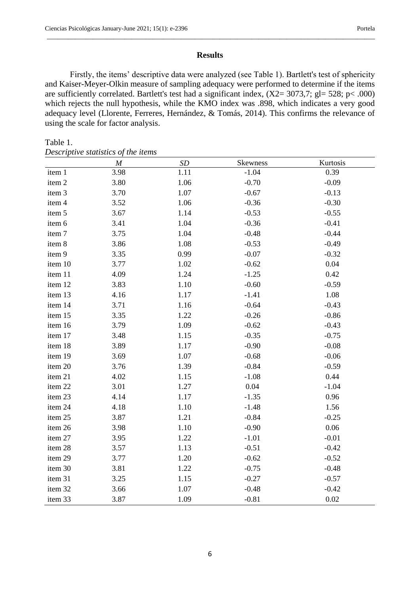## **Results**

\_\_\_\_\_\_\_\_\_\_\_\_\_\_\_\_\_\_\_\_\_\_\_\_\_\_\_\_\_\_\_\_\_\_\_\_\_\_\_\_\_\_\_\_\_\_\_\_\_\_\_\_\_\_\_\_\_\_\_\_\_\_\_\_\_\_\_\_\_\_\_\_\_\_\_\_\_\_\_\_\_\_\_\_\_\_\_\_\_\_\_\_\_

Firstly, the items' descriptive data were analyzed (see Table 1). Bartlett's test of sphericity and Kaiser-Meyer-Olkin measure of sampling adequacy were performed to determine if the items are sufficiently correlated. Bartlett's test had a significant index,  $(X2=3073,7; g=528; p<.000)$ which rejects the null hypothesis, while the KMO index was .898, which indicates a very good adequacy level (Llorente, Ferreres, Hernández, & Tomás, 2014). This confirms the relevance of using the scale for factor analysis.

#### Table 1.

|  | Descriptive statistics of the items |  |  |  |
|--|-------------------------------------|--|--|--|
|--|-------------------------------------|--|--|--|

|         | $\cal M$ | $\cal SD$ | Skewness | Kurtosis |
|---------|----------|-----------|----------|----------|
| item 1  | 3.98     | 1.11      | $-1.04$  | 0.39     |
| item 2  | 3.80     | 1.06      | $-0.70$  | $-0.09$  |
| item 3  | 3.70     | 1.07      | $-0.67$  | $-0.13$  |
| item 4  | 3.52     | 1.06      | $-0.36$  | $-0.30$  |
| item 5  | 3.67     | 1.14      | $-0.53$  | $-0.55$  |
| item 6  | 3.41     | 1.04      | $-0.36$  | $-0.41$  |
| item 7  | 3.75     | 1.04      | $-0.48$  | $-0.44$  |
| item 8  | 3.86     | 1.08      | $-0.53$  | $-0.49$  |
| item 9  | 3.35     | 0.99      | $-0.07$  | $-0.32$  |
| item 10 | 3.77     | 1.02      | $-0.62$  | 0.04     |
| item 11 | 4.09     | 1.24      | $-1.25$  | 0.42     |
| item 12 | 3.83     | 1.10      | $-0.60$  | $-0.59$  |
| item 13 | 4.16     | 1.17      | $-1.41$  | 1.08     |
| item 14 | 3.71     | 1.16      | $-0.64$  | $-0.43$  |
| item 15 | 3.35     | 1.22      | $-0.26$  | $-0.86$  |
| item 16 | 3.79     | 1.09      | $-0.62$  | $-0.43$  |
| item 17 | 3.48     | 1.15      | $-0.35$  | $-0.75$  |
| item 18 | 3.89     | 1.17      | $-0.90$  | $-0.08$  |
| item 19 | 3.69     | 1.07      | $-0.68$  | $-0.06$  |
| item 20 | 3.76     | 1.39      | $-0.84$  | $-0.59$  |
| item 21 | 4.02     | 1.15      | $-1.08$  | 0.44     |
| item 22 | 3.01     | 1.27      | 0.04     | $-1.04$  |
| item 23 | 4.14     | 1.17      | $-1.35$  | 0.96     |
| item 24 | 4.18     | 1.10      | $-1.48$  | 1.56     |
| item 25 | 3.87     | 1.21      | $-0.84$  | $-0.25$  |
| item 26 | 3.98     | 1.10      | $-0.90$  | 0.06     |
| item 27 | 3.95     | 1.22      | $-1.01$  | $-0.01$  |
| item 28 | 3.57     | 1.13      | $-0.51$  | $-0.42$  |
| item 29 | 3.77     | 1.20      | $-0.62$  | $-0.52$  |
| item 30 | 3.81     | 1.22      | $-0.75$  | $-0.48$  |
| item 31 | 3.25     | 1.15      | $-0.27$  | $-0.57$  |
| item 32 | 3.66     | 1.07      | $-0.48$  | $-0.42$  |
| item 33 | 3.87     | 1.09      | $-0.81$  | 0.02     |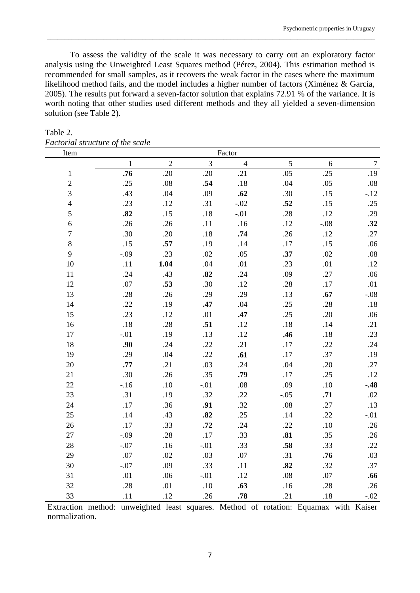To assess the validity of the scale it was necessary to carry out an exploratory factor analysis using the Unweighted Least Squares method (Pérez, 2004). This estimation method is recommended for small samples, as it recovers the weak factor in the cases where the maximum likelihood method fails, and the model includes a higher number of factors (Ximénez & García, 2005). The results put forward a seven-factor solution that explains 72.91 % of the variance. It is worth noting that other studies used different methods and they all yielded a seven-dimension solution (see Table 2).

\_\_\_\_\_\_\_\_\_\_\_\_\_\_\_\_\_\_\_\_\_\_\_\_\_\_\_\_\_\_\_\_\_\_\_\_\_\_\_\_\_\_\_\_\_\_\_\_\_\_\_\_\_\_\_\_\_\_\_\_\_\_\_\_\_\_\_\_\_\_\_\_\_\_\_\_\_\_\_\_\_\_\_\_\_\_\_\_\_\_\_\_\_

| Item             |         |                |         | Factor         |        |        |                  |
|------------------|---------|----------------|---------|----------------|--------|--------|------------------|
|                  | 1       | $\overline{2}$ | 3       | $\overline{4}$ | 5      | 6      | $\boldsymbol{7}$ |
| $\mathbf{1}$     | .76     | .20            | .20     | .21            | .05    | .25    | .19              |
| $\mathbf{2}$     | .25     | .08            | .54     | .18            | .04    | .05    | .08              |
| 3                | .43     | .04            | .09     | .62            | .30    | .15    | $-.12$           |
| $\overline{4}$   | .23     | .12            | .31     | $-.02$         | .52    | .15    | .25              |
| 5                | .82     | .15            | $.18\,$ | $-.01$         | .28    | .12    | .29              |
| 6                | .26     | .26            | .11     | .16            | .12    | $-.08$ | .32              |
| $\boldsymbol{7}$ | .30     | .20            | .18     | .74            | .26    | .12    | .27              |
| 8                | .15     | .57            | .19     | .14            | $.17$  | .15    | .06              |
| 9                | $-0.09$ | .23            | $.02\,$ | .05            | .37    | .02    | $.08\,$          |
| 10               | .11     | 1.04           | .04     | $.01\,$        | .23    | .01    | .12              |
| 11               | .24     | .43            | .82     | .24            | .09    | .27    | .06              |
| 12               | .07     | .53            | .30     | .12            | .28    | .17    | .01              |
| 13               | .28     | .26            | .29     | .29            | .13    | .67    | $-.08$           |
| 14               | .22     | .19            | .47     | .04            | .25    | .28    | .18              |
| 15               | .23     | .12            | .01     | .47            | .25    | .20    | .06              |
| 16               | .18     | .28            | .51     | .12            | .18    | .14    | .21              |
| 17               | $-.01$  | .19            | .13     | .12            | .46    | .18    | .23              |
| 18               | .90     | .24            | .22     | .21            | .17    | .22    | .24              |
| 19               | .29     | .04            | .22     | .61            | $.17$  | .37    | .19              |
| 20               | .77     | .21            | .03     | .24            | .04    | .20    | .27              |
| 21               | .30     | .26            | .35     | .79            | .17    | .25    | .12              |
| 22               | $-.16$  | $.10\,$        | $-.01$  | $.08\,$        | .09    | .10    | $-.48$           |
| 23               | .31     | .19            | .32     | .22            | $-.05$ | .71    | .02              |
| 24               | .17     | .36            | .91     | .32            | .08    | .27    | .13              |
| 25               | .14     | .43            | .82     | .25            | .14    | .22    | $-.01$           |
| 26               | .17     | .33            | .72     | .24            | .22    | .10    | .26              |
| 27               | $-.09$  | .28            | .17     | .33            | .81    | .35    | .26              |
| 28               | $-.07$  | .16            | $-.01$  | .33            | .58    | .33    | .22              |
| 29               | .07     | .02            | .03     | .07            | .31    | .76    | .03              |
| 30               | $-.07$  | .09            | .33     | .11            | .82    | .32    | .37              |
| 31               | .01     | .06            | $-.01$  | .12            | .08    | .07    | .66              |
| 32               | .28     | .01            | $.10\,$ | .63            | .16    | .28    | .26              |
| 33               | .11     | .12            | .26     | .78            | .21    | .18    | $-.02$           |

Table 2. *Factorial structure of the scale*

Extraction method: unweighted least squares. Method of rotation: Equamax with Kaiser normalization.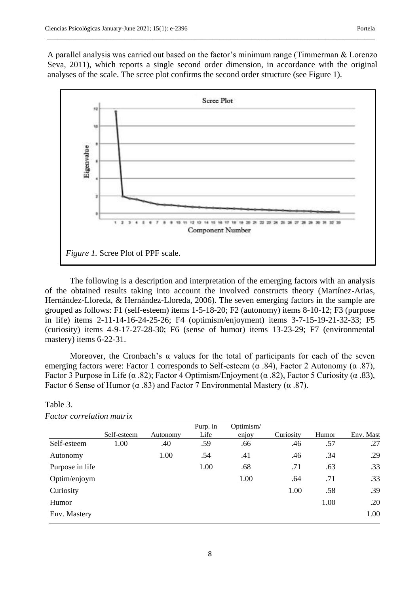A parallel analysis was carried out based on the factor's minimum range (Timmerman & Lorenzo Seva, 2011), which reports a single second order dimension, in accordance with the original analyses of the scale. The scree plot confirms the second order structure (see Figure 1).

\_\_\_\_\_\_\_\_\_\_\_\_\_\_\_\_\_\_\_\_\_\_\_\_\_\_\_\_\_\_\_\_\_\_\_\_\_\_\_\_\_\_\_\_\_\_\_\_\_\_\_\_\_\_\_\_\_\_\_\_\_\_\_\_\_\_\_\_\_\_\_\_\_\_\_\_\_\_\_\_\_\_\_\_\_\_\_\_\_\_\_\_\_



The following is a description and interpretation of the emerging factors with an analysis of the obtained results taking into account the involved constructs theory (Martínez-Arias, Hernández-Lloreda, & Hernández-Lloreda, 2006). The seven emerging factors in the sample are grouped as follows: F1 (self-esteem) items 1-5-18-20; F2 (autonomy) items 8-10-12; F3 (purpose in life) items 2-11-14-16-24-25-26; F4 (optimism/enjoyment) items 3-7-15-19-21-32-33; F5 (curiosity) items 4-9-17-27-28-30; F6 (sense of humor) items 13-23-29; F7 (environmental mastery) items 6-22-31.

Moreover, the Cronbach's  $\alpha$  values for the total of participants for each of the seven emerging factors were: Factor 1 corresponds to Self-esteem ( $\alpha$  .84), Factor 2 Autonomy ( $\alpha$  .87), Factor 3 Purpose in Life ( $\alpha$  .82); Factor 4 Optimism/Enjoyment ( $\alpha$  .82), Factor 5 Curiosity ( $\alpha$  .83), Factor 6 Sense of Humor ( $\alpha$  .83) and Factor 7 Environmental Mastery ( $\alpha$  .87).

|                 |             |          | Purp. in | Optimism/ |           |       |           |
|-----------------|-------------|----------|----------|-----------|-----------|-------|-----------|
|                 | Self-esteem | Autonomy | Life     | enjoy     | Curiosity | Humor | Env. Mast |
| Self-esteem     | 1.00        | .40      | .59      | .66       | .46       | .57   | .27       |
| Autonomy        |             | 1.00     | .54      | .41       | .46       | .34   | .29       |
| Purpose in life |             |          | 1.00     | .68       | .71       | .63   | .33       |
| Optim/enjoym    |             |          |          | 1.00      | .64       | .71   | .33       |
| Curiosity       |             |          |          |           | 1.00      | .58   | .39       |
| Humor           |             |          |          |           |           | 1.00  | .20       |
| Env. Mastery    |             |          |          |           |           |       | 1.00      |

# Table 3. *Factor correlation matrix*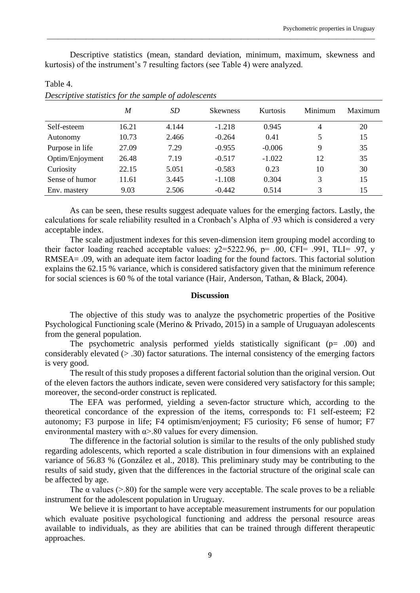Descriptive statistics (mean, standard deviation, minimum, maximum, skewness and kurtosis) of the instrument's 7 resulting factors (see Table 4) were analyzed.

\_\_\_\_\_\_\_\_\_\_\_\_\_\_\_\_\_\_\_\_\_\_\_\_\_\_\_\_\_\_\_\_\_\_\_\_\_\_\_\_\_\_\_\_\_\_\_\_\_\_\_\_\_\_\_\_\_\_\_\_\_\_\_\_\_\_\_\_\_\_\_\_\_\_\_\_\_\_\_\_\_\_\_\_\_\_\_\_\_\_\_\_\_

|                 | $\overline{M}$ | SD    | <b>Skewness</b> | Kurtosis | Minimum | Maximum |
|-----------------|----------------|-------|-----------------|----------|---------|---------|
| Self-esteem     | 16.21          | 4.144 | $-1.218$        | 0.945    | 4       | 20      |
| Autonomy        | 10.73          | 2.466 | $-0.264$        | 0.41     | 5       | 15      |
| Purpose in life | 27.09          | 7.29  | $-0.955$        | $-0.006$ | 9       | 35      |
| Optim/Enjoyment | 26.48          | 7.19  | $-0.517$        | $-1.022$ | 12      | 35      |
| Curiosity       | 22.15          | 5.051 | $-0.583$        | 0.23     | 10      | 30      |
| Sense of humor  | 11.61          | 3.445 | $-1.108$        | 0.304    | 3       | 15      |
| Env. mastery    | 9.03           | 2.506 | $-0.442$        | 0.514    | 3       | 15      |

Table 4. *Descriptive statistics for the sample of adolescents*

As can be seen, these results suggest adequate values for the emerging factors. Lastly, the calculations for scale reliability resulted in a Cronbach's Alpha of .93 which is considered a very acceptable index.

The scale adjustment indexes for this seven-dimension item grouping model according to their factor loading reached acceptable values:  $\chi$ 2=5222.96, p= .00, CFI= .991, TLI= .97, y RMSEA= .09, with an adequate item factor loading for the found factors. This factorial solution explains the 62.15 % variance, which is considered satisfactory given that the minimum reference for social sciences is 60 % of the total variance (Hair, Anderson, Tathan, & Black, 2004).

#### **Discussion**

The objective of this study was to analyze the psychometric properties of the Positive Psychological Functioning scale (Merino & Privado, 2015) in a sample of Uruguayan adolescents from the general population.

The psychometric analysis performed yields statistically significant ( $p= .00$ ) and considerably elevated (> .30) factor saturations. The internal consistency of the emerging factors is very good.

The result of this study proposes a different factorial solution than the original version. Out of the eleven factors the authors indicate, seven were considered very satisfactory for this sample; moreover, the second-order construct is replicated.

The EFA was performed, yielding a seven-factor structure which, according to the theoretical concordance of the expression of the items, corresponds to: F1 self-esteem; F2 autonomy; F3 purpose in life; F4 optimism/enjoyment; F5 curiosity; F6 sense of humor; F7 environmental mastery with  $\alpha$  > .80 values for every dimension.

The difference in the factorial solution is similar to the results of the only published study regarding adolescents, which reported a scale distribution in four dimensions with an explained variance of 56.83 % (González et al., 2018). This preliminary study may be contributing to the results of said study, given that the differences in the factorial structure of the original scale can be affected by age.

The  $\alpha$  values ( $> 0.80$ ) for the sample were very acceptable. The scale proves to be a reliable instrument for the adolescent population in Uruguay.

We believe it is important to have acceptable measurement instruments for our population which evaluate positive psychological functioning and address the personal resource areas available to individuals, as they are abilities that can be trained through different therapeutic approaches.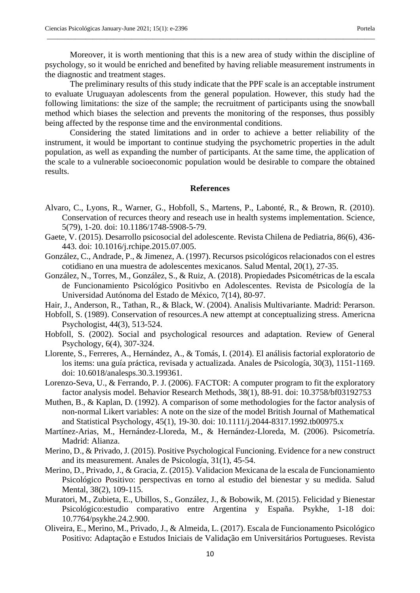Moreover, it is worth mentioning that this is a new area of study within the discipline of psychology, so it would be enriched and benefited by having reliable measurement instruments in the diagnostic and treatment stages.

\_\_\_\_\_\_\_\_\_\_\_\_\_\_\_\_\_\_\_\_\_\_\_\_\_\_\_\_\_\_\_\_\_\_\_\_\_\_\_\_\_\_\_\_\_\_\_\_\_\_\_\_\_\_\_\_\_\_\_\_\_\_\_\_\_\_\_\_\_\_\_\_\_\_\_\_\_\_\_\_\_\_\_\_\_\_\_\_\_\_\_\_\_

The preliminary results of this study indicate that the PPF scale is an acceptable instrument to evaluate Uruguayan adolescents from the general population. However, this study had the following limitations: the size of the sample; the recruitment of participants using the snowball method which biases the selection and prevents the monitoring of the responses, thus possibly being affected by the response time and the environmental conditions.

Considering the stated limitations and in order to achieve a better reliability of the instrument, it would be important to continue studying the psychometric properties in the adult population, as well as expanding the number of participants. At the same time, the application of the scale to a vulnerable socioeconomic population would be desirable to compare the obtained results.

## **References**

- Alvaro, C., Lyons, R., Warner, G., Hobfoll, S., Martens, P., Labonté, R., & Brown, R. (2010). Conservation of recurces theory and reseach use in health systems implementation. Science, 5(79), 1-20. doi: 10.1186/1748-5908-5-79.
- Gaete, V. (2015). Desarrollo psicosocial del adolescente. Revista Chilena de Pediatria, 86(6), 436- 443. doi: 10.1016/j.rchipe.2015.07.005.
- González, C., Andrade, P., & Jimenez, A. (1997). Recursos psicológicos relacionados con el estres cotidiano en una muestra de adolescentes mexicanos. Salud Mental, 20(1), 27-35.
- González, N., Torres, M., González, S., & Ruiz, A. (2018). Propiedades Psicométricas de la escala de Funcionamiento Psicológico Positivbo en Adolescentes. Revista de Psicología de la Universidad Autónoma del Estado de México, 7(14), 80-97.
- Hair, J., Anderson, R., Tathan, R., & Black, W. (2004). Analisis Multivariante. Madrid: Perarson.
- Hobfoll, S. (1989). Conservation of resources.A new attempt at conceptualizing stress. Americna Psychologist, 44(3), 513-524.
- Hobfoll, S. (2002). Social and psychological resources and adaptation. Review of General Psychology, 6(4), 307-324.
- Llorente, S., Ferreres, A., Hernández, A., & Tomás, I. (2014). El análisis factorial exploratorio de los items: una guía práctica, revisada y actualizada. Anales de Psicología, 30(3), 1151-1169. doi: 10.6018/analesps.30.3.199361.
- Lorenzo-Seva, U., & Ferrando, P. J. (2006). FACTOR: A computer program to fit the exploratory factor analysis model. Behavior Research Methods, 38(1), 88-91. doi: 10.3758/bf03192753
- Muthen, B., & Kaplan, D. (1992). A comparison of some methodologies for the factor analysis of non-normal Likert variables: A note on the size of the model British Journal of Mathematical and Statistical Psychology, 45(1), 19-30. doi: 10.1111/j.2044-8317.1992.tb00975.x
- Martínez-Arias, M., Hernández-Lloreda, M., & Hernández-Lloreda, M. (2006). Psicometría. Madrid: Alianza.
- Merino, D., & Privado, J. (2015). Positive Psychological Funcioning. Evidence for a new construct and its measurement. Anales de Psicología, 31(1), 45-54.
- Merino, D., Privado, J., & Gracia, Z. (2015). Validacion Mexicana de la escala de Funcionamiento Psicológico Positivo: perspectivas en torno al estudio del bienestar y su medida. Salud Mental, 38(2), 109-115.
- Muratori, M., Zubieta, E., Ubillos, S., González, J., & Bobowik, M. (2015). Felicidad y Bienestar Psicológico:estudio comparativo entre Argentina y España. Psykhe, 1-18 doi: 10.7764/psykhe.24.2.900.
- Oliveira, E., Merino, M., Privado, J., & Almeida, L. (2017). Escala de Funcionamento Psicológico Positivo: Adaptação e Estudos Iniciais de Validação em Universitários Portugueses. Revista